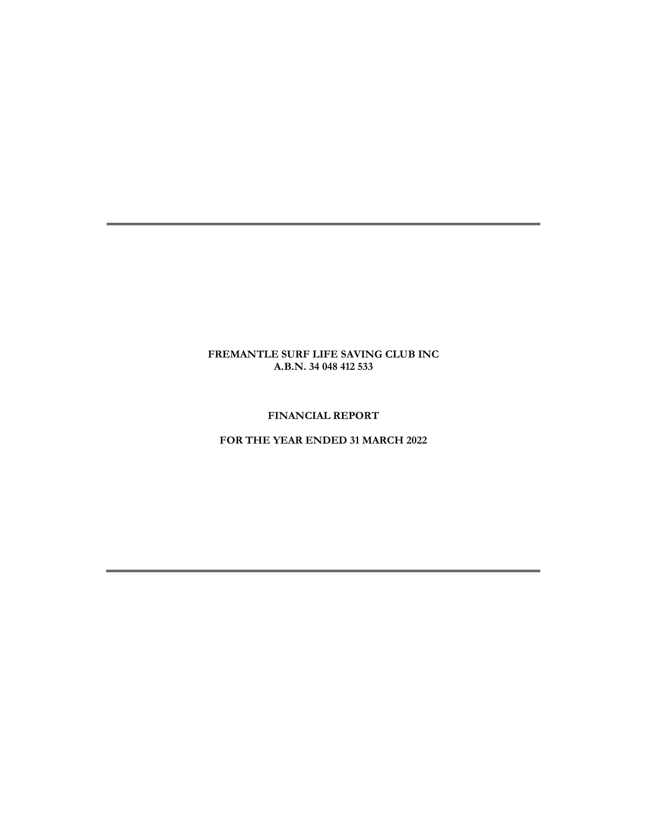# FINANCIAL REPORT

# FOR THE YEAR ENDED 31 MARCH 2022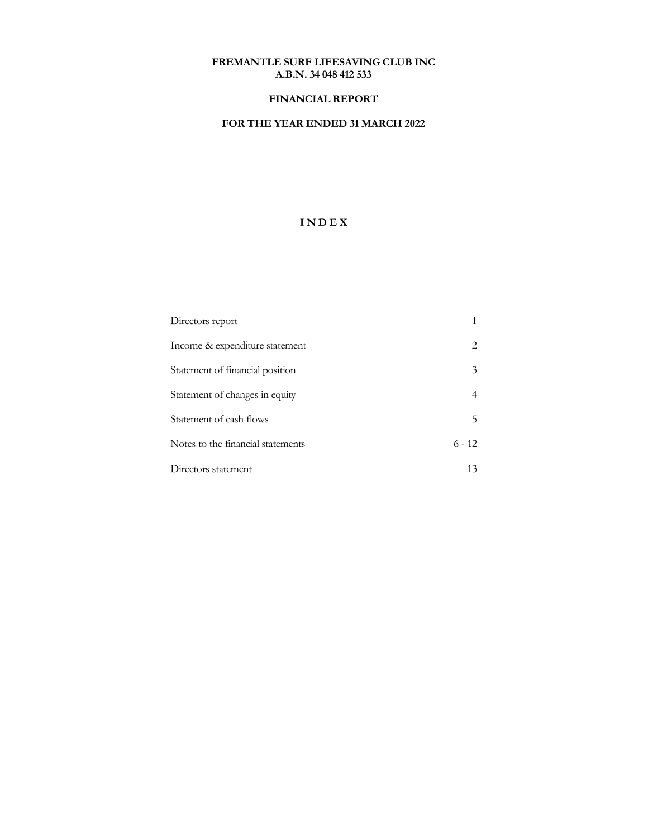## FINANCIAL REPORT

# FOR THE YEAR ENDED 31 MARCH 2022

# I N D E X

| Directors report                  |          |
|-----------------------------------|----------|
| Income & expenditure statement    | 2        |
| Statement of financial position   | 3        |
| Statement of changes in equity    |          |
| Statement of cash flows           | 5        |
| Notes to the financial statements | $6 - 12$ |
| Directors statement               | 13       |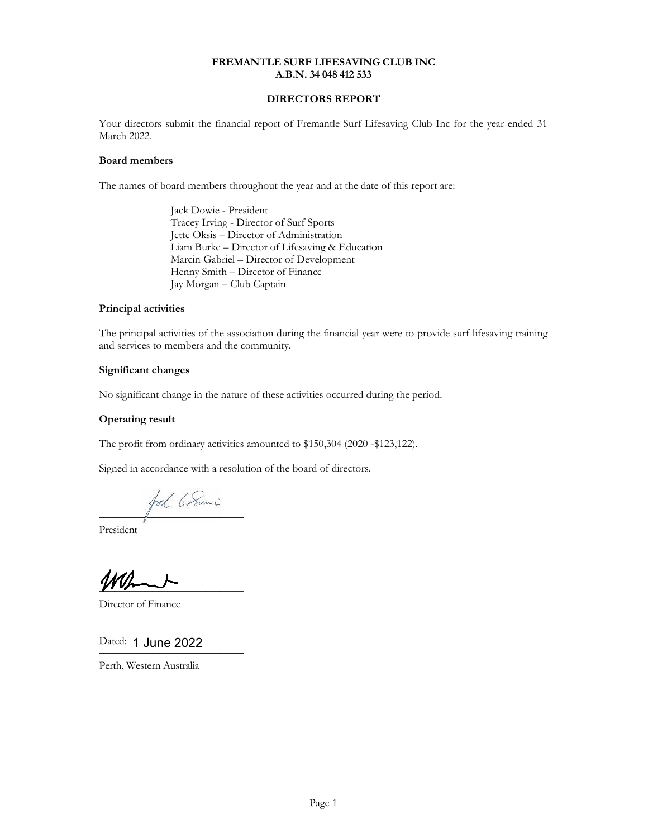## DIRECTORS REPORT

Your directors submit the financial report of Fremantle Surf Lifesaving Club Inc for the year ended 31 March 2022.

#### Board members

The names of board members throughout the year and at the date of this report are:

 Jack Dowie - President Tracey Irving - Director of Surf Sports Jette Oksis – Director of Administration Liam Burke – Director of Lifesaving & Education Marcin Gabriel – Director of Development Henny Smith – Director of Finance Jay Morgan – Club Captain

### Principal activities

The principal activities of the association during the financial year were to provide surf lifesaving training and services to members and the community.

### Significant changes

No significant change in the nature of these activities occurred during the period.

## Operating result

The profit from ordinary activities amounted to \$150,304 (2020 -\$123,122).

Signed in accordance with a resolution of the board of directors.

fol 6 Sumi ───────────────────

President

 $\overline{\phantom{a} \phantom{a} \phantom{a} \phantom{a} \phantom{a} \phantom{a} \phantom{a} \phantom{a} \phantom{a} \phantom{a} \phantom{a} \phantom{a} \phantom{a} \phantom{a} \phantom{a} \phantom{a} \phantom{a} \phantom{a} \phantom{a} \phantom{a} \phantom{a} \phantom{a} \phantom{a} \phantom{a} \phantom{a} \phantom{a} \phantom{a} \phantom{a} \phantom{a} \phantom{a} \phantom{a} \phantom{a} \phantom{a} \phantom{a} \phantom{a} \phantom{a} \$ 

Director of Finance

Dated: 1 June 2022

───────────────────

Perth, Western Australia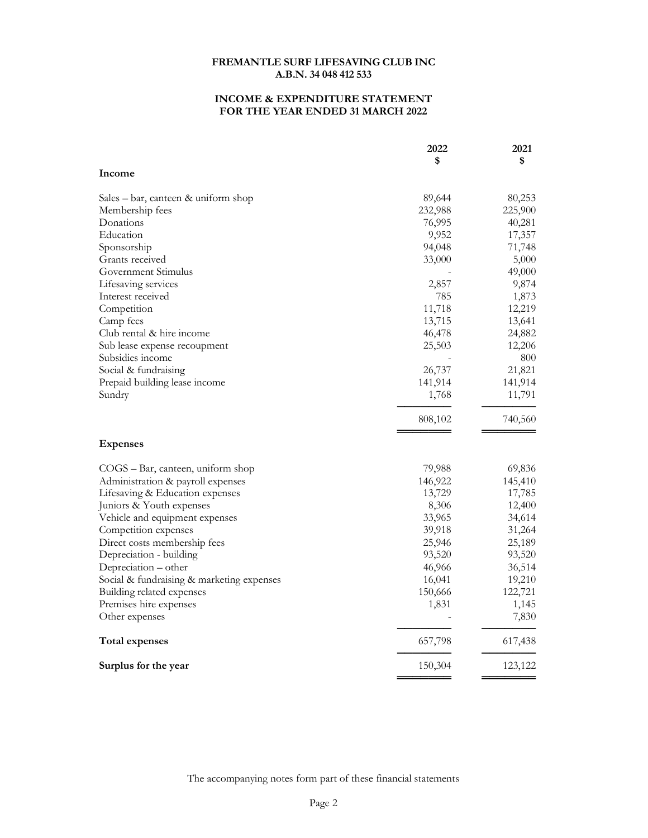## INCOME & EXPENDITURE STATEMENT FOR THE YEAR ENDED 31 MARCH 2022

|                                           | 2022    | 2021    |
|-------------------------------------------|---------|---------|
|                                           | \$      | \$      |
| Income                                    |         |         |
| Sales – bar, canteen & uniform shop       | 89,644  | 80,253  |
| Membership fees                           | 232,988 | 225,900 |
| Donations                                 | 76,995  | 40,281  |
| Education                                 | 9,952   | 17,357  |
| Sponsorship                               | 94,048  | 71,748  |
| Grants received                           | 33,000  | 5,000   |
| Government Stimulus                       |         | 49,000  |
| Lifesaving services                       | 2,857   | 9,874   |
| Interest received                         | 785     | 1,873   |
| Competition                               | 11,718  | 12,219  |
| Camp fees                                 | 13,715  | 13,641  |
| Club rental & hire income                 | 46,478  | 24,882  |
| Sub lease expense recoupment              | 25,503  | 12,206  |
| Subsidies income                          |         | 800     |
| Social & fundraising                      | 26,737  | 21,821  |
| Prepaid building lease income             | 141,914 | 141,914 |
| Sundry                                    | 1,768   | 11,791  |
|                                           |         |         |
|                                           | 808,102 | 740,560 |
| <b>Expenses</b>                           |         |         |
| COGS - Bar, canteen, uniform shop         | 79,988  | 69,836  |
| Administration & payroll expenses         | 146,922 | 145,410 |
| Lifesaving & Education expenses           | 13,729  | 17,785  |
| Juniors & Youth expenses                  | 8,306   | 12,400  |
| Vehicle and equipment expenses            | 33,965  | 34,614  |
| Competition expenses                      | 39,918  | 31,264  |
| Direct costs membership fees              | 25,946  | 25,189  |
| Depreciation - building                   | 93,520  | 93,520  |
| Depreciation - other                      | 46,966  | 36,514  |
| Social & fundraising & marketing expenses | 16,041  | 19,210  |
| Building related expenses                 | 150,666 | 122,721 |
| Premises hire expenses                    | 1,831   | 1,145   |
| Other expenses                            |         | 7,830   |
| <b>Total expenses</b>                     | 657,798 | 617,438 |
| Surplus for the year                      | 150,304 | 123,122 |
|                                           |         |         |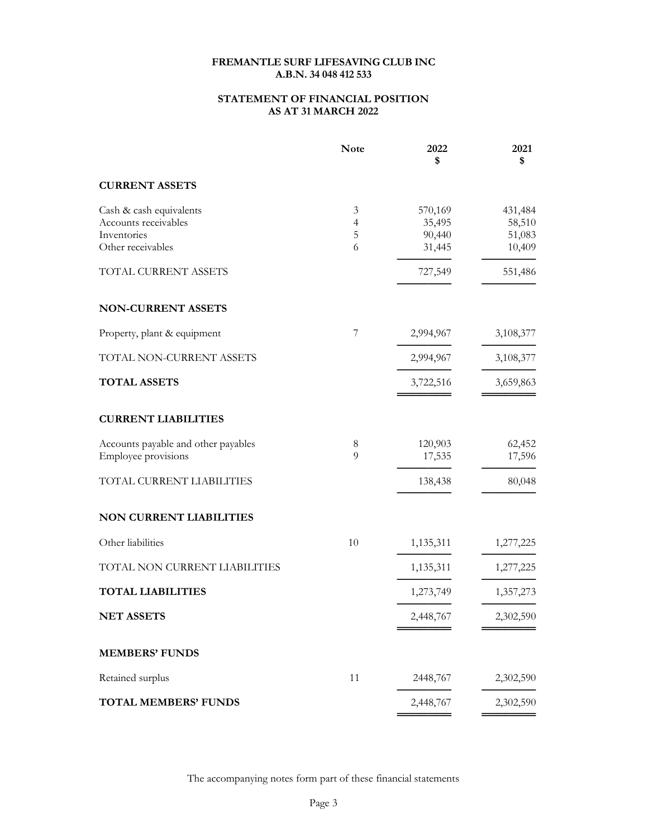## STATEMENT OF FINANCIAL POSITION AS AT 31 MARCH 2022

|                                     | <b>Note</b>    | 2022<br>\$ | 2021<br>\$ |
|-------------------------------------|----------------|------------|------------|
| <b>CURRENT ASSETS</b>               |                |            |            |
| Cash & cash equivalents             | 3              | 570,169    | 431,484    |
| Accounts receivables                | $\overline{4}$ | 35,495     | 58,510     |
| Inventories<br>Other receivables    | 5<br>6         | 90,440     | 51,083     |
|                                     |                | 31,445     | 10,409     |
| TOTAL CURRENT ASSETS                |                | 727,549    | 551,486    |
| <b>NON-CURRENT ASSETS</b>           |                |            |            |
| Property, plant & equipment         | 7              | 2,994,967  | 3,108,377  |
| TOTAL NON-CURRENT ASSETS            |                | 2,994,967  | 3,108,377  |
| <b>TOTAL ASSETS</b>                 |                | 3,722,516  | 3,659,863  |
| <b>CURRENT LIABILITIES</b>          |                |            |            |
| Accounts payable and other payables | 8<br>9         | 120,903    | 62,452     |
| Employee provisions                 |                | 17,535     | 17,596     |
| TOTAL CURRENT LIABILITIES           |                | 138,438    | 80,048     |
| NON CURRENT LIABILITIES             |                |            |            |
| Other liabilities                   | 10             | 1,135,311  | 1,277,225  |
| TOTAL NON CURRENT LIABILITIES       |                | 1,135,311  | 1,277,225  |
| <b>TOTAL LIABILITIES</b>            |                | 1,273,749  | 1,357,273  |
| <b>NET ASSETS</b>                   |                | 2,448,767  | 2,302,590  |
| <b>MEMBERS' FUNDS</b>               |                |            |            |
| Retained surplus                    | 11             | 2448,767   | 2,302,590  |
| <b>TOTAL MEMBERS' FUNDS</b>         |                | 2,448,767  | 2,302,590  |
|                                     |                |            |            |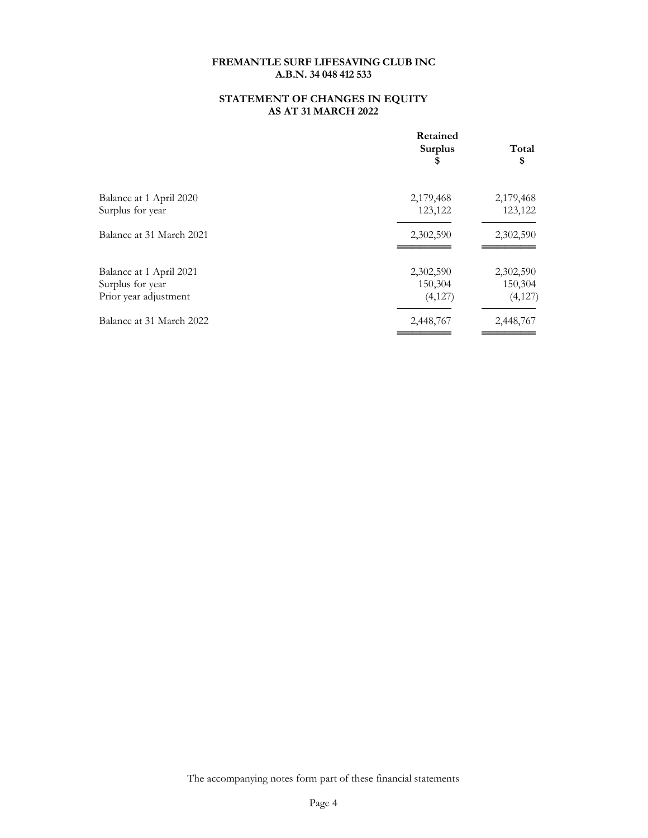## STATEMENT OF CHANGES IN EQUITY AS AT 31 MARCH 2022

|                                                                      | Retained<br><b>Surplus</b><br>\$ | Total<br>\$                     |
|----------------------------------------------------------------------|----------------------------------|---------------------------------|
| Balance at 1 April 2020<br>Surplus for year                          | 2,179,468<br>123,122             | 2,179,468<br>123,122            |
| Balance at 31 March 2021                                             | 2,302,590                        | 2,302,590                       |
| Balance at 1 April 2021<br>Surplus for year<br>Prior year adjustment | 2,302,590<br>150,304<br>(4,127)  | 2,302,590<br>150,304<br>(4,127) |
| Balance at 31 March 2022                                             | 2,448,767                        | 2,448,767                       |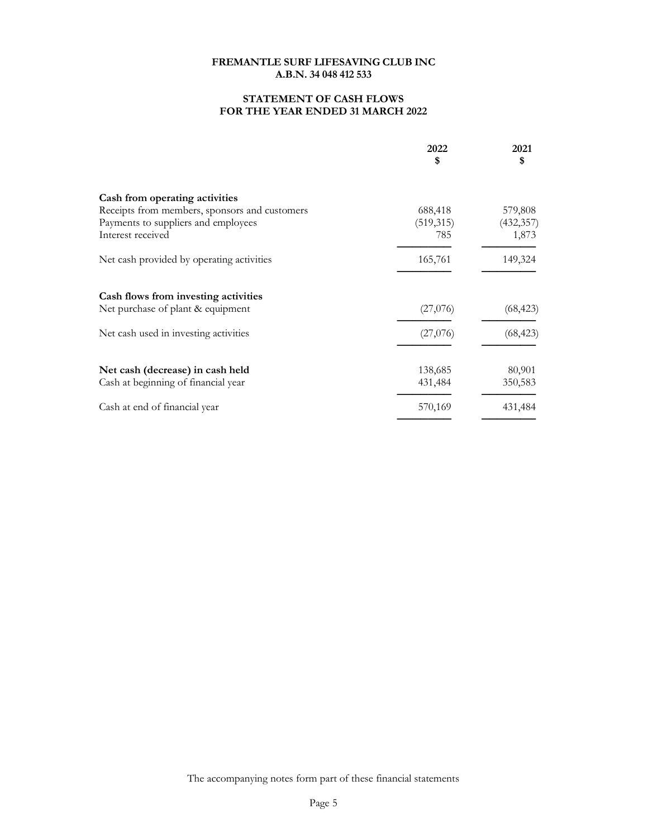## STATEMENT OF CASH FLOWS FOR THE YEAR ENDED 31 MARCH 2022

|                                               | 2022<br>\$ | 2021<br>\$ |
|-----------------------------------------------|------------|------------|
| Cash from operating activities                |            |            |
| Receipts from members, sponsors and customers | 688,418    | 579,808    |
| Payments to suppliers and employees           | (519, 315) | (432, 357) |
| Interest received                             | 785        | 1,873      |
| Net cash provided by operating activities     | 165,761    | 149,324    |
| Cash flows from investing activities          |            |            |
| Net purchase of plant & equipment             | (27,076)   | (68, 423)  |
| Net cash used in investing activities         | (27,076)   | (68, 423)  |
| Net cash (decrease) in cash held              | 138,685    | 80,901     |
| Cash at beginning of financial year           | 431,484    | 350,583    |
| Cash at end of financial year                 | 570,169    | 431,484    |
|                                               |            |            |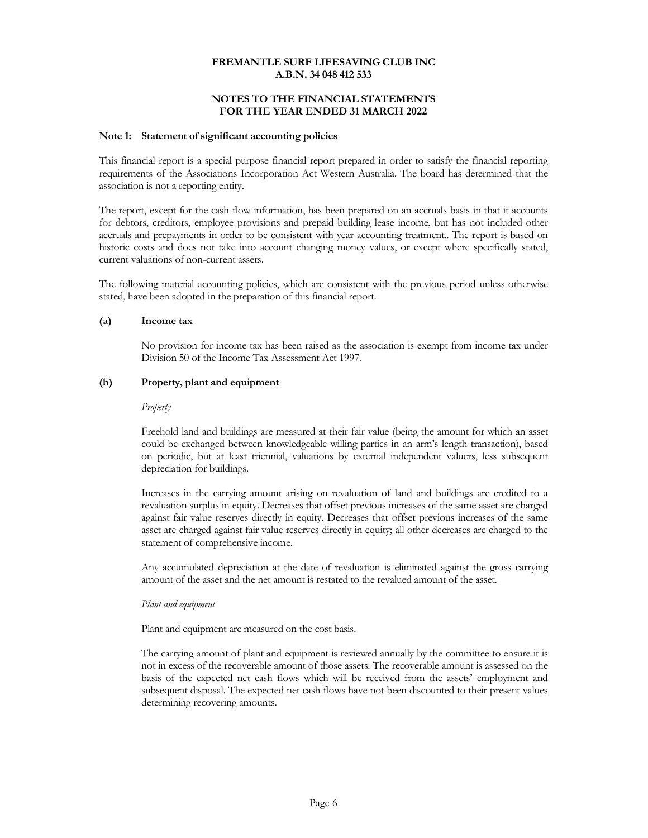## NOTES TO THE FINANCIAL STATEMENTS FOR THE YEAR ENDED 31 MARCH 2022

#### Note 1: Statement of significant accounting policies

This financial report is a special purpose financial report prepared in order to satisfy the financial reporting requirements of the Associations Incorporation Act Western Australia. The board has determined that the association is not a reporting entity.

The report, except for the cash flow information, has been prepared on an accruals basis in that it accounts for debtors, creditors, employee provisions and prepaid building lease income, but has not included other accruals and prepayments in order to be consistent with year accounting treatment.. The report is based on historic costs and does not take into account changing money values, or except where specifically stated, current valuations of non-current assets.

The following material accounting policies, which are consistent with the previous period unless otherwise stated, have been adopted in the preparation of this financial report.

#### (a) Income tax

No provision for income tax has been raised as the association is exempt from income tax under Division 50 of the Income Tax Assessment Act 1997.

### (b) Property, plant and equipment

#### Property

Freehold land and buildings are measured at their fair value (being the amount for which an asset could be exchanged between knowledgeable willing parties in an arm's length transaction), based on periodic, but at least triennial, valuations by external independent valuers, less subsequent depreciation for buildings.

Increases in the carrying amount arising on revaluation of land and buildings are credited to a revaluation surplus in equity. Decreases that offset previous increases of the same asset are charged against fair value reserves directly in equity. Decreases that offset previous increases of the same asset are charged against fair value reserves directly in equity; all other decreases are charged to the statement of comprehensive income.

Any accumulated depreciation at the date of revaluation is eliminated against the gross carrying amount of the asset and the net amount is restated to the revalued amount of the asset.

#### Plant and equipment

Plant and equipment are measured on the cost basis.

The carrying amount of plant and equipment is reviewed annually by the committee to ensure it is not in excess of the recoverable amount of those assets. The recoverable amount is assessed on the basis of the expected net cash flows which will be received from the assets' employment and subsequent disposal. The expected net cash flows have not been discounted to their present values determining recovering amounts.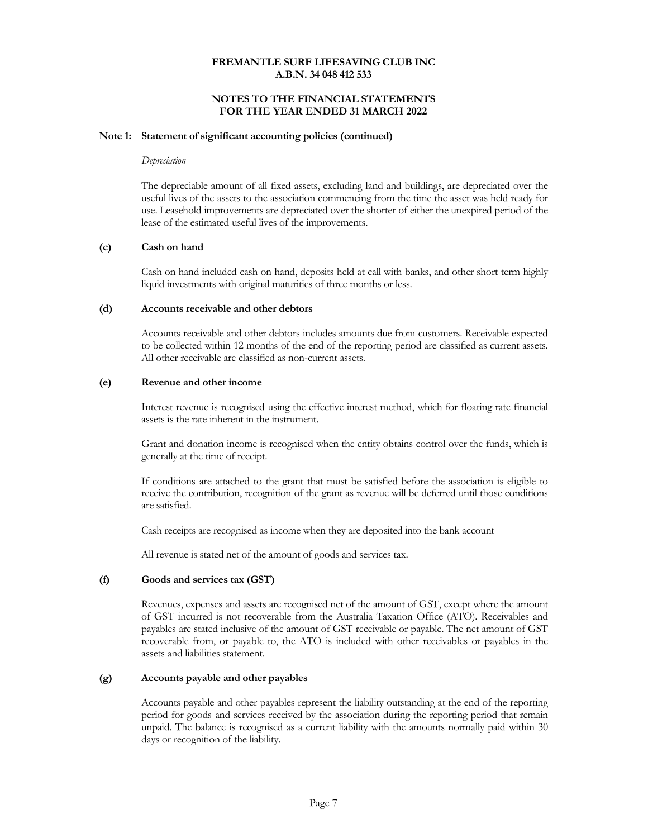## NOTES TO THE FINANCIAL STATEMENTS FOR THE YEAR ENDED 31 MARCH 2022

#### Note 1: Statement of significant accounting policies (continued)

#### Depreciation

The depreciable amount of all fixed assets, excluding land and buildings, are depreciated over the useful lives of the assets to the association commencing from the time the asset was held ready for use. Leasehold improvements are depreciated over the shorter of either the unexpired period of the lease of the estimated useful lives of the improvements.

#### (c) Cash on hand

Cash on hand included cash on hand, deposits held at call with banks, and other short term highly liquid investments with original maturities of three months or less.

### (d) Accounts receivable and other debtors

Accounts receivable and other debtors includes amounts due from customers. Receivable expected to be collected within 12 months of the end of the reporting period are classified as current assets. All other receivable are classified as non-current assets.

#### (e) Revenue and other income

Interest revenue is recognised using the effective interest method, which for floating rate financial assets is the rate inherent in the instrument.

Grant and donation income is recognised when the entity obtains control over the funds, which is generally at the time of receipt.

If conditions are attached to the grant that must be satisfied before the association is eligible to receive the contribution, recognition of the grant as revenue will be deferred until those conditions are satisfied.

Cash receipts are recognised as income when they are deposited into the bank account

All revenue is stated net of the amount of goods and services tax.

## (f) Goods and services tax (GST)

Revenues, expenses and assets are recognised net of the amount of GST, except where the amount of GST incurred is not recoverable from the Australia Taxation Office (ATO). Receivables and payables are stated inclusive of the amount of GST receivable or payable. The net amount of GST recoverable from, or payable to, the ATO is included with other receivables or payables in the assets and liabilities statement.

#### (g) Accounts payable and other payables

Accounts payable and other payables represent the liability outstanding at the end of the reporting period for goods and services received by the association during the reporting period that remain unpaid. The balance is recognised as a current liability with the amounts normally paid within 30 days or recognition of the liability.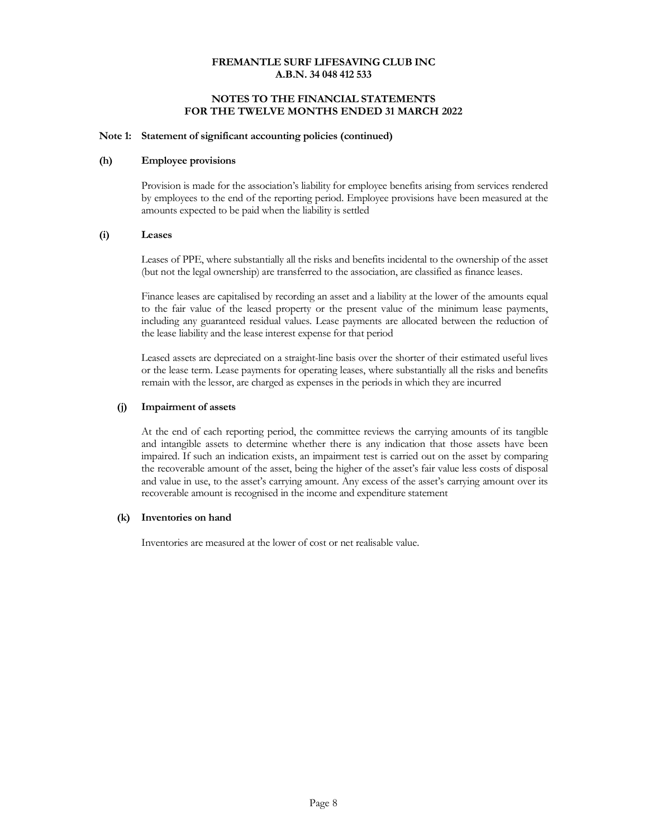## NOTES TO THE FINANCIAL STATEMENTS FOR THE TWELVE MONTHS ENDED 31 MARCH 2022

#### Note 1: Statement of significant accounting policies (continued)

#### (h) Employee provisions

Provision is made for the association's liability for employee benefits arising from services rendered by employees to the end of the reporting period. Employee provisions have been measured at the amounts expected to be paid when the liability is settled

### (i) Leases

Leases of PPE, where substantially all the risks and benefits incidental to the ownership of the asset (but not the legal ownership) are transferred to the association, are classified as finance leases.

Finance leases are capitalised by recording an asset and a liability at the lower of the amounts equal to the fair value of the leased property or the present value of the minimum lease payments, including any guaranteed residual values. Lease payments are allocated between the reduction of the lease liability and the lease interest expense for that period

Leased assets are depreciated on a straight-line basis over the shorter of their estimated useful lives or the lease term. Lease payments for operating leases, where substantially all the risks and benefits remain with the lessor, are charged as expenses in the periods in which they are incurred

### (j) Impairment of assets

At the end of each reporting period, the committee reviews the carrying amounts of its tangible and intangible assets to determine whether there is any indication that those assets have been impaired. If such an indication exists, an impairment test is carried out on the asset by comparing the recoverable amount of the asset, being the higher of the asset's fair value less costs of disposal and value in use, to the asset's carrying amount. Any excess of the asset's carrying amount over its recoverable amount is recognised in the income and expenditure statement

#### (k) Inventories on hand

Inventories are measured at the lower of cost or net realisable value.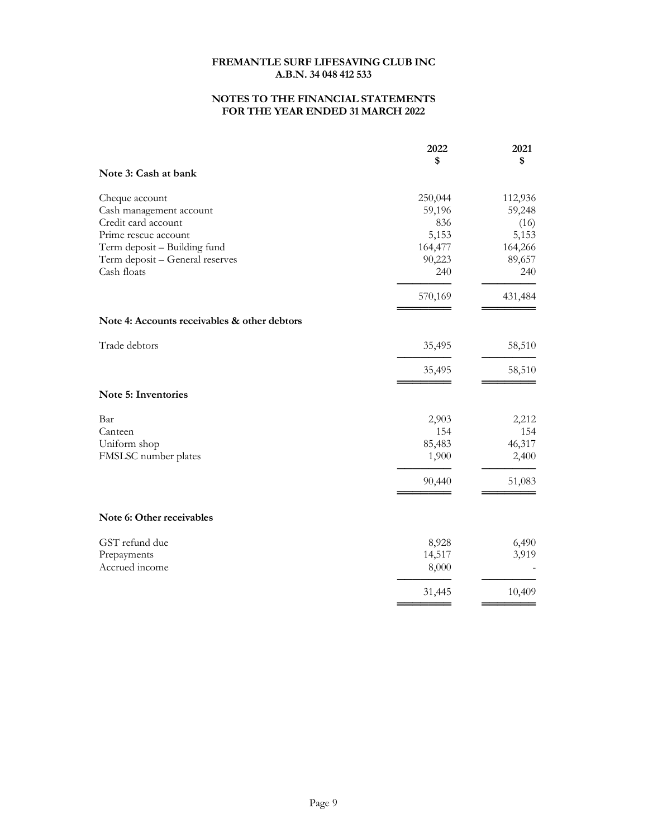## NOTES TO THE FINANCIAL STATEMENTS FOR THE YEAR ENDED 31 MARCH 2022

|                                              | 2022             | 2021             |
|----------------------------------------------|------------------|------------------|
| Note 3: Cash at bank                         | \$               | \$               |
| Cheque account                               | 250,044          | 112,936          |
| Cash management account                      | 59,196           | 59,248           |
| Credit card account<br>Prime rescue account  | 836              | (16)             |
| Term deposit - Building fund                 | 5,153<br>164,477 | 5,153<br>164,266 |
| Term deposit - General reserves              | 90,223           | 89,657           |
| Cash floats                                  | 240              | 240              |
|                                              | 570,169          | 431,484          |
| Note 4: Accounts receivables & other debtors |                  |                  |
| Trade debtors                                | 35,495           | 58,510           |
|                                              | 35,495           | 58,510           |
| Note 5: Inventories                          |                  |                  |
| Bar                                          | 2,903            | 2,212            |
| Canteen                                      | 154              | 154              |
| Uniform shop                                 | 85,483           | 46,317           |
| FMSLSC number plates                         | 1,900            | 2,400            |
|                                              | 90,440           | 51,083           |
| Note 6: Other receivables                    |                  |                  |
| GST refund due                               | 8,928            | 6,490            |
| Prepayments                                  | 14,517           | 3,919            |
| Accrued income                               | 8,000            |                  |
|                                              | 31,445           | 10,409           |
|                                              |                  |                  |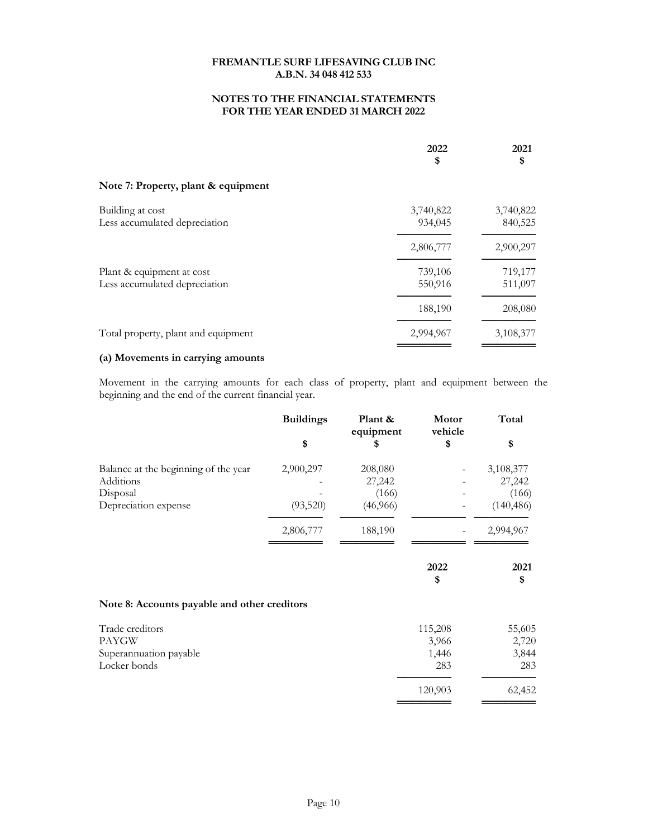## NOTES TO THE FINANCIAL STATEMENTS FOR THE YEAR ENDED 31 MARCH 2022

|                                                            | 2022<br>\$           | 2021<br>\$           |
|------------------------------------------------------------|----------------------|----------------------|
| Note 7: Property, plant & equipment                        |                      |                      |
| Building at cost<br>Less accumulated depreciation          | 3,740,822<br>934,045 | 3,740,822<br>840,525 |
|                                                            | 2,806,777            | 2,900,297            |
| Plant & equipment at cost<br>Less accumulated depreciation | 739,106<br>550,916   | 719,177<br>511,097   |
|                                                            | 188,190              | 208,080              |
| Total property, plant and equipment                        | 2,994,967            | 3,108,377            |

## (a) Movements in carrying amounts

Movement in the carrying amounts for each class of property, plant and equipment between the beginning and the end of the current financial year.

|                                              | <b>Buildings</b> | Plant &<br>equipment | Motor<br>vehicle | Total        |
|----------------------------------------------|------------------|----------------------|------------------|--------------|
|                                              | \$               | S                    | \$               | \$           |
| Balance at the beginning of the year         | 2,900,297        | 208,080              |                  | 3,108,377    |
| Additions                                    |                  | 27,242               |                  | 27,242       |
| Disposal                                     |                  | (166)                |                  | (166)        |
| Depreciation expense                         | (93,520)         | (46,966)             |                  | (140, 486)   |
|                                              | 2,806,777        | 188,190              |                  | 2,994,967    |
|                                              |                  |                      | 2022             | 2021         |
| Note 8: Accounts payable and other creditors |                  |                      | \$               | \$           |
|                                              |                  |                      |                  |              |
| Trade creditors<br><b>PAYGW</b>              |                  |                      | 115,208          | 55,605       |
|                                              |                  |                      | 3,966            | 2,720        |
| Superannuation payable<br>Locker bonds       |                  |                      | 1,446<br>283     | 3,844<br>283 |
|                                              |                  |                      | 120,903          | 62,452       |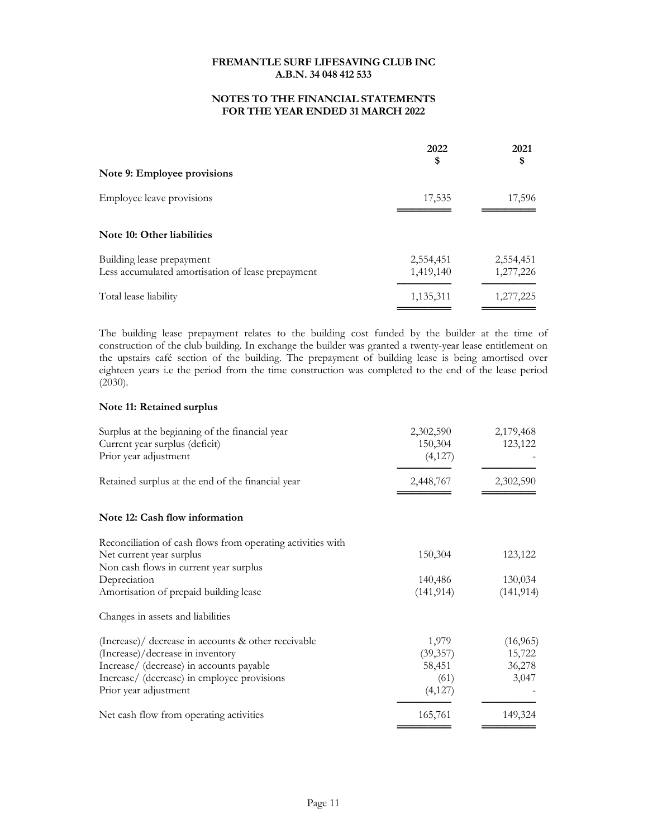## NOTES TO THE FINANCIAL STATEMENTS FOR THE YEAR ENDED 31 MARCH 2022

|                                                                                | 2022<br>\$             | 2021<br>\$             |
|--------------------------------------------------------------------------------|------------------------|------------------------|
| Note 9: Employee provisions                                                    |                        |                        |
| Employee leave provisions                                                      | 17,535                 | 17,596                 |
| Note 10: Other liabilities                                                     |                        |                        |
| Building lease prepayment<br>Less accumulated amortisation of lease prepayment | 2,554,451<br>1,419,140 | 2,554,451<br>1,277,226 |
| Total lease liability                                                          | 1,135,311              | 1,277,225              |

The building lease prepayment relates to the building cost funded by the builder at the time of construction of the club building. In exchange the builder was granted a twenty-year lease entitlement on the upstairs café section of the building. The prepayment of building lease is being amortised over eighteen years i.e the period from the time construction was completed to the end of the lease period (2030).

### Note 11: Retained surplus

| Surplus at the beginning of the financial year<br>Current year surplus (deficit) | 2,302,590<br>150,304 | 2,179,468<br>123,122 |
|----------------------------------------------------------------------------------|----------------------|----------------------|
| Prior year adjustment                                                            | (4,127)              |                      |
| Retained surplus at the end of the financial year                                | 2,448,767            | 2,302,590            |
| Note 12: Cash flow information                                                   |                      |                      |
| Reconciliation of cash flows from operating activities with                      |                      |                      |
| Net current year surplus                                                         | 150,304              | 123,122              |
| Non cash flows in current year surplus                                           |                      |                      |
| Depreciation                                                                     | 140,486              | 130,034              |
| Amortisation of prepaid building lease                                           | (141, 914)           | (141, 914)           |
| Changes in assets and liabilities                                                |                      |                      |
| (Increase)/ decrease in accounts & other receivable                              | 1,979                | (16,965)             |
| (Increase)/decrease in inventory                                                 | (39, 357)            | 15,722               |
| Increase/ (decrease) in accounts payable                                         | 58,451               | 36,278               |
| Increase/ (decrease) in employee provisions                                      | (61)                 | 3,047                |
| Prior year adjustment                                                            | (4,127)              |                      |
| Net cash flow from operating activities                                          | 165,761              | 149,324              |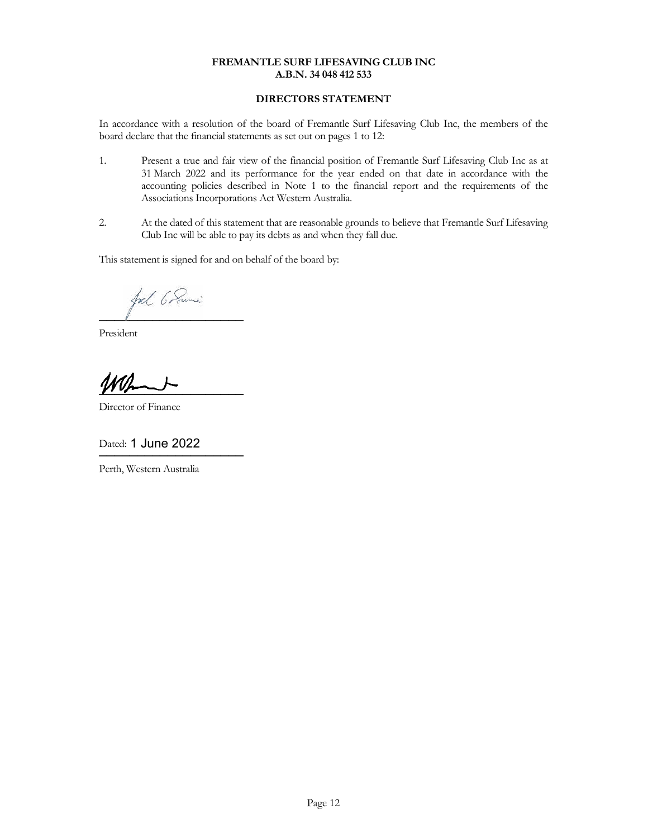# DIRECTORS STATEMENT

In accordance with a resolution of the board of Fremantle Surf Lifesaving Club Inc, the members of the board declare that the financial statements as set out on pages 1 to 12:

- 1. Present a true and fair view of the financial position of Fremantle Surf Lifesaving Club Inc as at 31 March 2022 and its performance for the year ended on that date in accordance with the accounting policies described in Note 1 to the financial report and the requirements of the Associations Incorporations Act Western Australia.
- 2. At the dated of this statement that are reasonable grounds to believe that Fremantle Surf Lifesaving Club Inc will be able to pay its debts as and when they fall due.

This statement is signed for and on behalf of the board by:

fol 6 Sumi ──────────────────────────────────────

President

 $\overline{\phantom{a} \phantom{a} \phantom{a} \phantom{a} \phantom{a} \phantom{a} \phantom{a} \phantom{a} \phantom{a} \phantom{a} \phantom{a} \phantom{a} \phantom{a} \phantom{a} \phantom{a} \phantom{a} \phantom{a} \phantom{a} \phantom{a} \phantom{a} \phantom{a} \phantom{a} \phantom{a} \phantom{a} \phantom{a} \phantom{a} \phantom{a} \phantom{a} \phantom{a} \phantom{a} \phantom{a} \phantom{a} \phantom{a} \phantom{a} \phantom{a} \phantom{a} \$ 

Director of Finance

Dated: 1 June 2022

Perth, Western Australia

───────────────────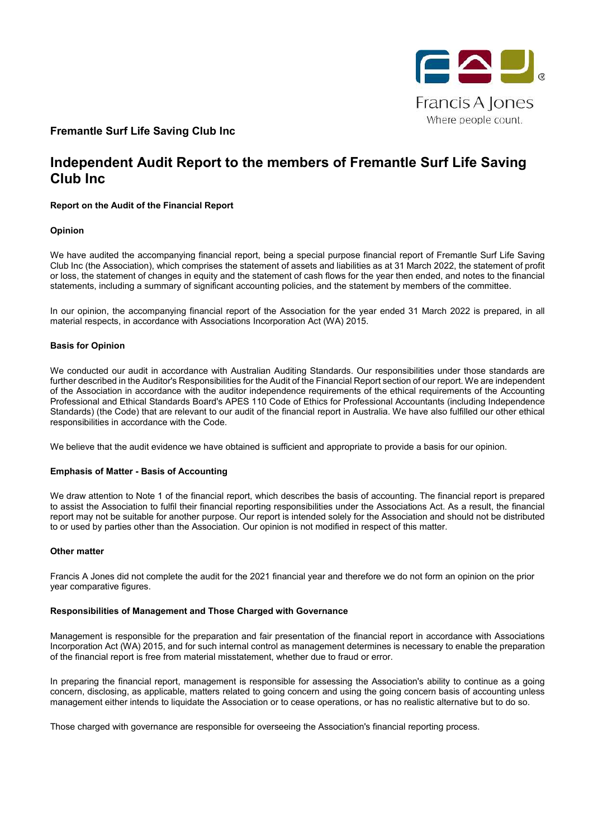

# **Fremantle Surf Life Saving Club Inc**

# **Independent Audit Report to the members of Fremantle Surf Life Saving Club Inc**

### **Report on the Audit of the Financial Report**

#### **Opinion**

We have audited the accompanying financial report, being a special purpose financial report of Fremantle Surf Life Saving Club Inc (the Association), which comprises the statement of assets and liabilities as at 31 March 2022, the statement of profit or loss, the statement of changes in equity and the statement of cash flows for the year then ended, and notes to the financial statements, including a summary of significant accounting policies, and the statement by members of the committee.

In our opinion, the accompanying financial report of the Association for the year ended 31 March 2022 is prepared, in all material respects, in accordance with Associations Incorporation Act (WA) 2015.

#### **Basis for Opinion**

We conducted our audit in accordance with Australian Auditing Standards. Our responsibilities under those standards are further described in the Auditor's Responsibilities for the Audit of the Financial Report section of our report. We are independent of the Association in accordance with the auditor independence requirements of the ethical requirements of the Accounting Professional and Ethical Standards Board's APES 110 Code of Ethics for Professional Accountants (including Independence Standards) (the Code) that are relevant to our audit of the financial report in Australia. We have also fulfilled our other ethical responsibilities in accordance with the Code.

We believe that the audit evidence we have obtained is sufficient and appropriate to provide a basis for our opinion.

#### **Emphasis of Matter - Basis of Accounting**

We draw attention to Note 1 of the financial report, which describes the basis of accounting. The financial report is prepared to assist the Association to fulfil their financial reporting responsibilities under the Associations Act. As a result, the financial report may not be suitable for another purpose. Our report is intended solely for the Association and should not be distributed to or used by parties other than the Association. Our opinion is not modified in respect of this matter.

#### **Other matter**

Francis A Jones did not complete the audit for the 2021 financial year and therefore we do not form an opinion on the prior year comparative figures.

#### **Responsibilities of Management and Those Charged with Governance**

Management is responsible for the preparation and fair presentation of the financial report in accordance with Associations Incorporation Act (WA) 2015, and for such internal control as management determines is necessary to enable the preparation of the financial report is free from material misstatement, whether due to fraud or error.

In preparing the financial report, management is responsible for assessing the Association's ability to continue as a going concern, disclosing, as applicable, matters related to going concern and using the going concern basis of accounting unless management either intends to liquidate the Association or to cease operations, or has no realistic alternative but to do so.

Those charged with governance are responsible for overseeing the Association's financial reporting process.